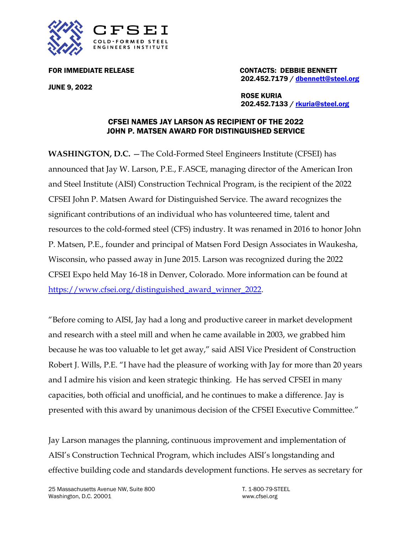

JUNE 9, 2022

FOR IMMEDIATE RELEASE **CONTACTS: DEBBIE BENNETT** 202.452.7179 / [dbennett@steel.org](mailto:dbennett@steel.org)

> ROSE KURIA 202.452.7133 / [rkuria@steel.org](mailto:rkuria@steel.org)

## CFSEI NAMES JAY LARSON AS RECIPIENT OF THE 2022 JOHN P. MATSEN AWARD FOR DISTINGUISHED SERVICE

**WASHINGTON, D.C.** —The Cold-Formed Steel Engineers Institute (CFSEI) has announced that Jay W. Larson, P.E., F.ASCE, managing director of the American Iron and Steel Institute (AISI) Construction Technical Program, is the recipient of the 2022 CFSEI John P. Matsen Award for Distinguished Service. The award recognizes the significant contributions of an individual who has volunteered time, talent and resources to the cold-formed steel (CFS) industry. It was renamed in 2016 to honor John P. Matsen, P.E., founder and principal of Matsen Ford Design Associates in Waukesha, Wisconsin, who passed away in June 2015. Larson was recognized during the 2022 CFSEI Expo held May 16-18 in Denver, Colorado. More information can be found at [https://www.cfsei.org/distinguished\\_award\\_winner\\_2022.](https://www.cfsei.org/distinguished_award_winner_2022)

"Before coming to AISI, Jay had a long and productive career in market development and research with a steel mill and when he came available in 2003, we grabbed him because he was too valuable to let get away," said AISI Vice President of Construction Robert J. Wills, P.E. "I have had the pleasure of working with Jay for more than 20 years and I admire his vision and keen strategic thinking. He has served CFSEI in many capacities, both official and unofficial, and he continues to make a difference. Jay is presented with this award by unanimous decision of the CFSEI Executive Committee."

Jay Larson manages the planning, continuous improvement and implementation of AISI's Construction Technical Program, which includes AISI's longstanding and effective building code and standards development functions. He serves as secretary for